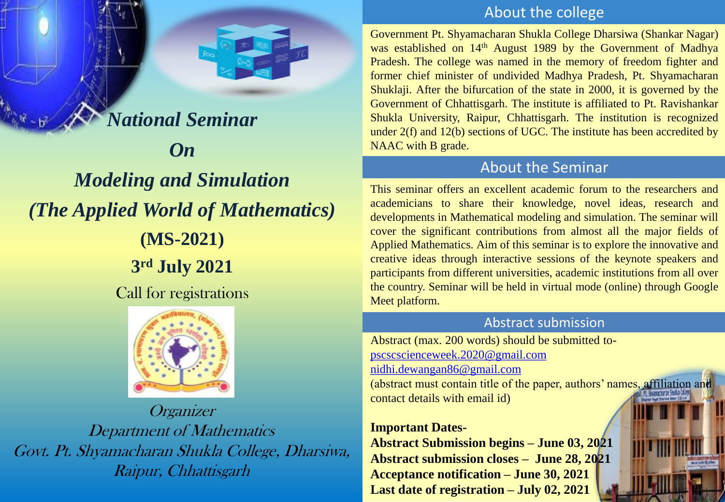# *National Seminar On Modeling and Simulation (The Applied World of Mathematics)* **(MS-2021) 3 rd July 2021** Call for registrations



Organizer Department of Mathematics Govt. Pt. Shyamacharan Shukla College, Dharsiwa, Raipur, Chhattisgarh

## About the college

Government Pt. Shyamacharan Shukla College Dharsiwa (Shankar Nagar) was established on 14<sup>th</sup> August 1989 by the Government of Madhya Pradesh. The college was named in the memory of freedom fighter and former chief minister of undivided Madhya Pradesh, Pt. Shyamacharan Shuklaji. After the bifurcation of the state in 2000, it is governed by the Government of Chhattisgarh. The institute is affiliated to Pt. Ravishankar Shukla University, Raipur, Chhattisgarh. The institution is recognized under 2(f) and 12(b) sections of UGC. The institute has been accredited by NAAC with B grade.

# About the Seminar

This seminar offers an excellent academic forum to the researchers and academicians to share their knowledge, novel ideas, research and developments in Mathematical modeling and simulation. The seminar will cover the significant contributions from almost all the major fields of Applied Mathematics. Aim of this seminar is to explore the innovative and creative ideas through interactive sessions of the keynote speakers and participants from different universities, academic institutions from all over the country. Seminar will be held in virtual mode (online) through Google Meet platform.

#### Abstract submission

Abstract (max. 200 words) should be submitted to[pscscscienceweek.2020@gmail.com](Maths Seminar.pptx) [nidhi.dewangan86@gmail.com](Maths Seminar.pptx) (abstract must contain title of the paper, authors' names, affiliation and contact details with email id)

#### **Important Dates-**

**Abstract Submission begins – June 03, 2021 Abstract submission closes – June 28, 2021 Acceptance notification – June 30, 2021 Last date of registration – July 02, 2021**